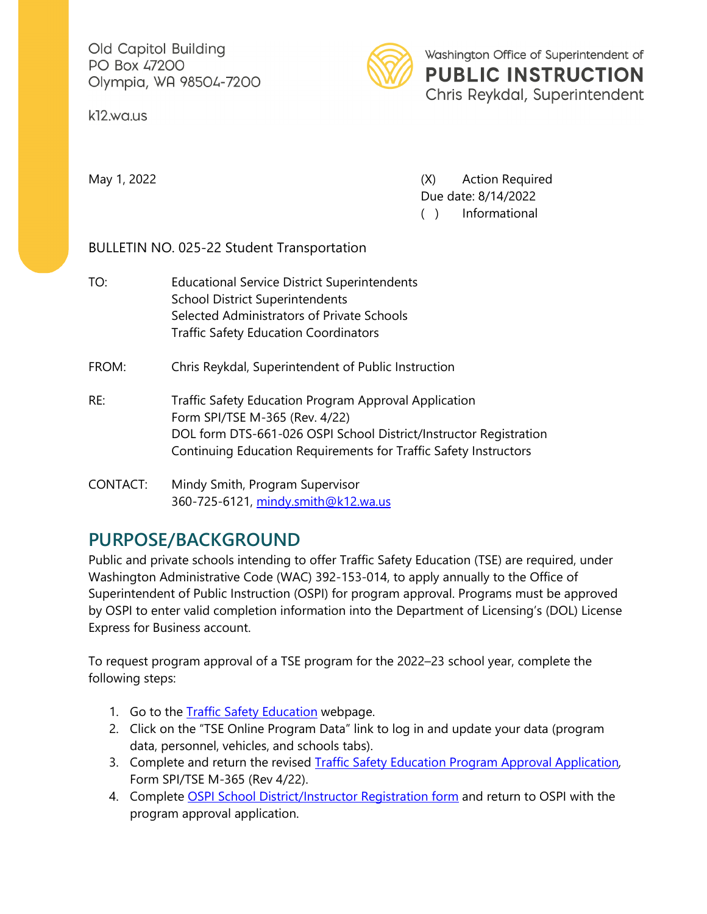Old Capitol Building PO Box 47200 Olympia, WA 98504-7200

k12.wa.us



Washington Office of Superintendent of **PUBLIC INSTRUCTION** Chris Reykdal, Superintendent

May 1, 2022 **May 1, 2022 CONFIDENTIFY Action Required** Due date: 8/14/2022 ( ) Informational

BULLETIN NO. 025-22 Student Transportation

TO: Educational Service District Superintendents School District Superintendents Selected Administrators of Private Schools Traffic Safety Education Coordinators

FROM: Chris Reykdal, Superintendent of Public Instruction

RE: Traffic Safety Education Program Approval Application Form SPI/TSE M-365 (Rev. 4/22) DOL form DTS-661-026 OSPI School District/Instructor Registration Continuing Education Requirements for Traffic Safety Instructors

## CONTACT: Mindy Smith, Program Supervisor 360-725-6121, [mindy.smith@k12.wa.us](mailto:mindy.smith@k12.wa.us)

## **PURPOSE/BACKGROUND**

Public and private schools intending to offer Traffic Safety Education (TSE) are required, under Washington Administrative Code (WAC) 392-153-014, to apply annually to the Office of Superintendent of Public Instruction (OSPI) for program approval. Programs must be approved by OSPI to enter valid completion information into the Department of Licensing's (DOL) License Express for Business account.

To request program approval of a TSE program for the 2022–23 school year, complete the following steps:

- 1. Go to the [Traffic Safety Education](http://www.k12.wa.us/trafficSafety/default.aspx) webpage.
- 2. Click on the "TSE Online Program Data" link to log in and update your data (program data, personnel, vehicles, and schools tabs).
- 3. Complete and return the revised [Traffic Safety Education Program Approval Application](https://www.k12.wa.us/student-success/health-safety/traffic-safety-education/traffic-safety-education-forms)*,* Form SPI/TSE M-365 (Rev 4/22).
- 4. Complete [OSPI School District/Instructor Registration form](http://www.dol.wa.gov/forms/661026.pdf) and return to OSPI with the program approval application.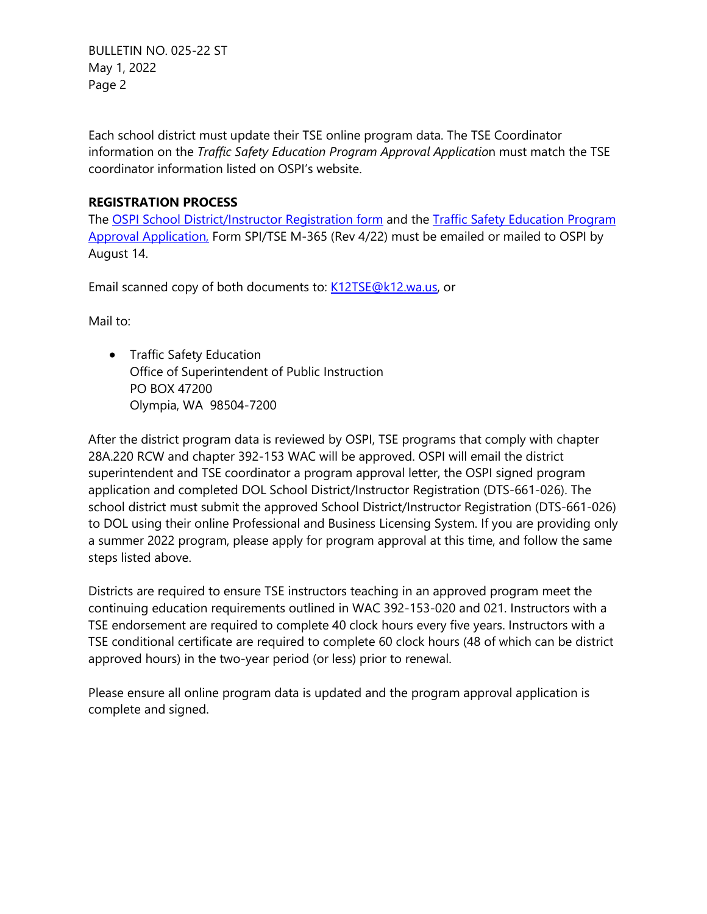BULLETIN NO. 025-22 ST May 1, 2022 Page 2

Each school district must update their TSE online program data. The TSE Coordinator information on the *Traffic Safety Education Program Approval Applicatio*n must match the TSE coordinator information listed on OSPI's website.

## **REGISTRATION PROCESS**

The [OSPI School District/Instructor Registration form](http://www.dol.wa.gov/forms/661026.pdf) and the [Traffic Safety Education Program](https://www.k12.wa.us/student-success/health-safety/traffic-safety-education/traffic-safety-education-forms)  [Approval Application,](https://www.k12.wa.us/student-success/health-safety/traffic-safety-education/traffic-safety-education-forms) Form SPI/TSE M-365 (Rev 4/22) must be emailed or mailed to OSPI by August 14.

Email scanned copy of both documents to: [K12TSE@k12.wa.us,](mailto:K12TSE@k12.wa.us) or

Mail to:

• Traffic Safety Education Office of Superintendent of Public Instruction PO BOX 47200 Olympia, WA 98504-7200

After the district program data is reviewed by OSPI, TSE programs that comply with chapter 28A.220 RCW and chapter 392-153 WAC will be approved. OSPI will email the district superintendent and TSE coordinator a program approval letter, the OSPI signed program application and completed DOL School District/Instructor Registration (DTS-661-026). The school district must submit the approved School District/Instructor Registration (DTS-661-026) to DOL using their online Professional and Business Licensing System. If you are providing only a summer 2022 program, please apply for program approval at this time, and follow the same steps listed above.

Districts are required to ensure TSE instructors teaching in an approved program meet the continuing education requirements outlined in WAC 392-153-020 and 021. Instructors with a TSE endorsement are required to complete 40 clock hours every five years. Instructors with a TSE conditional certificate are required to complete 60 clock hours (48 of which can be district approved hours) in the two-year period (or less) prior to renewal.

Please ensure all online program data is updated and the program approval application is complete and signed.